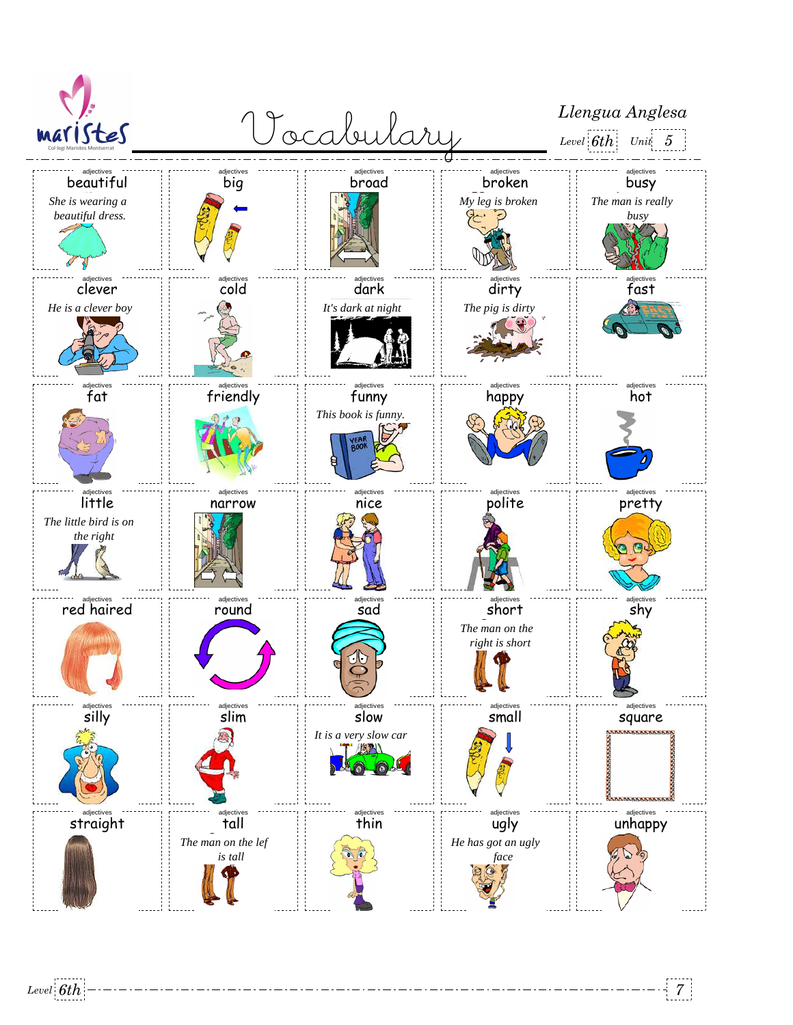

*Level 6th 7*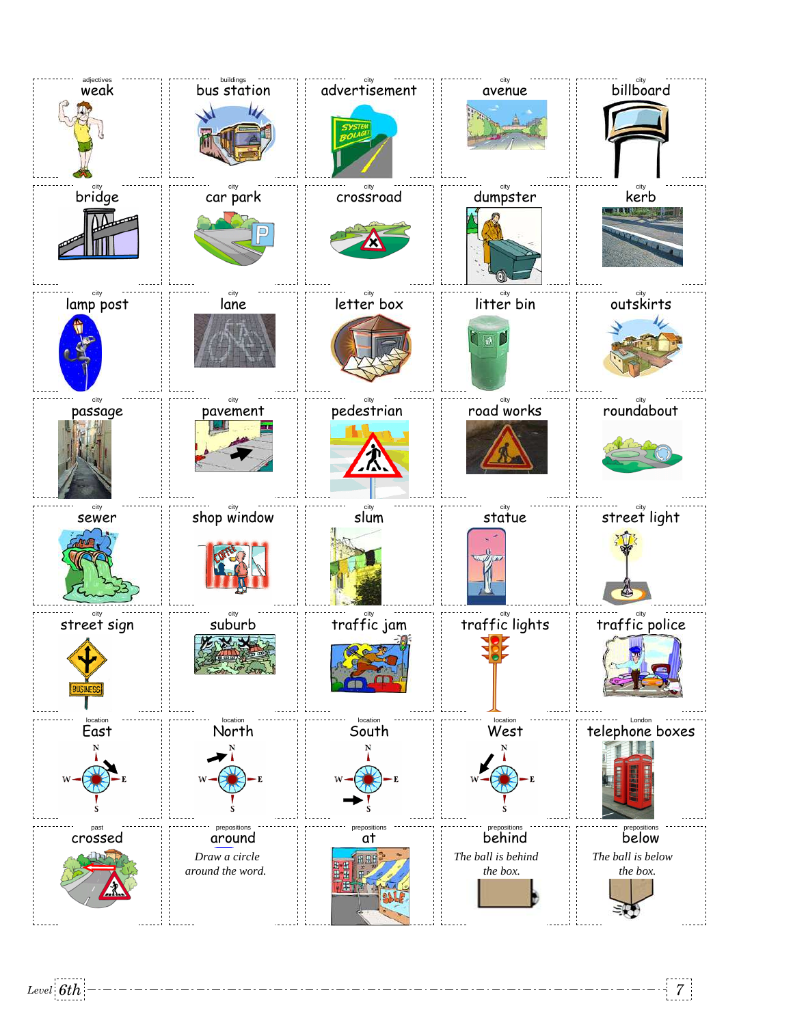

*Level 6th 7*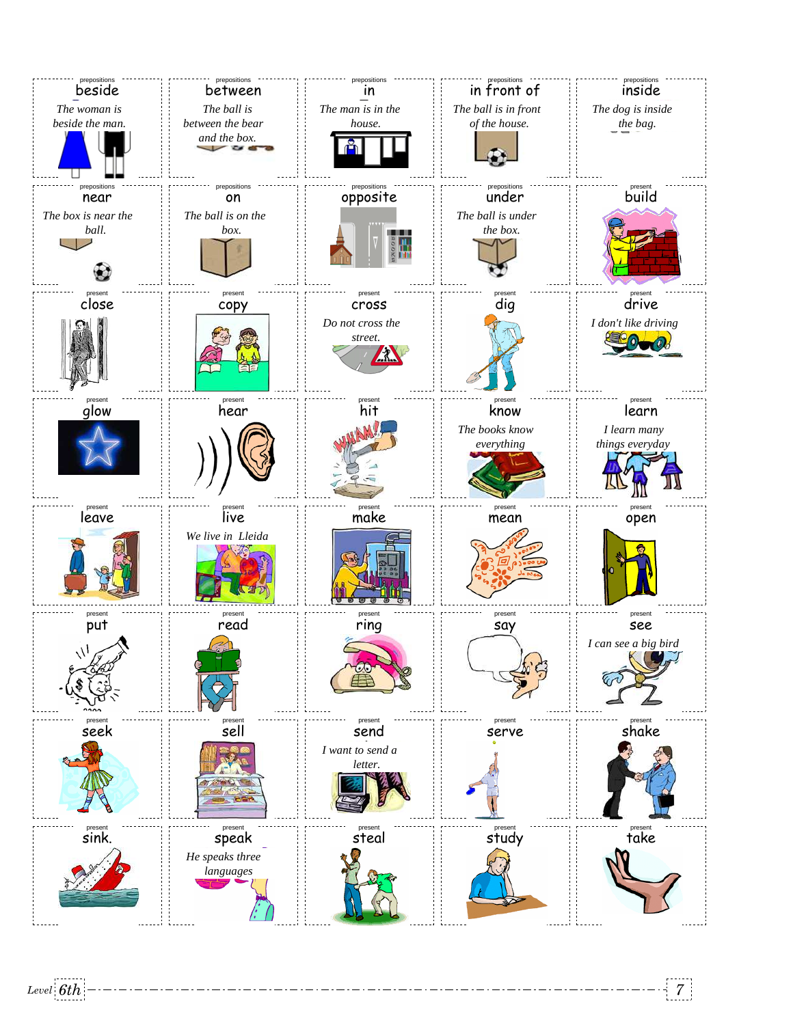